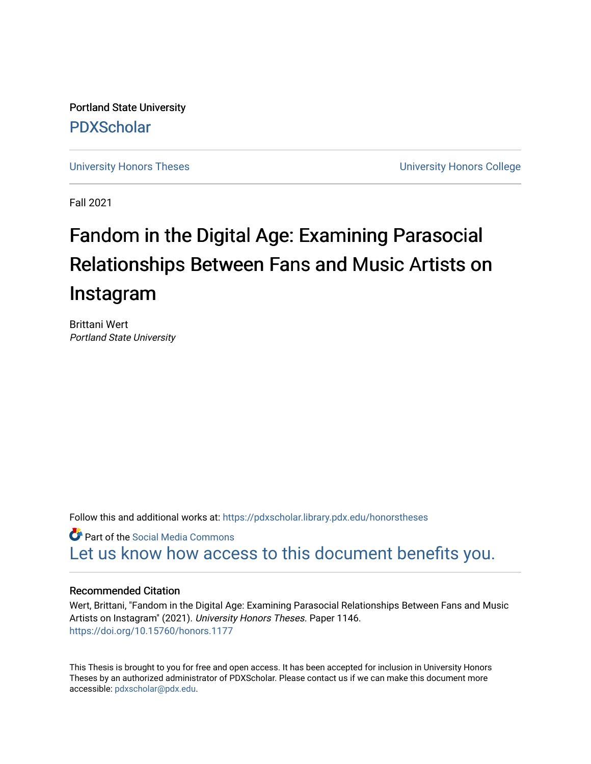Portland State University [PDXScholar](https://pdxscholar.library.pdx.edu/)

[University Honors Theses](https://pdxscholar.library.pdx.edu/honorstheses) **University Honors College** 

Fall 2021

# Fandom in the Digital Age: Examining Parasocial Relationships Between Fans and Music Artists on Instagram

Brittani Wert Portland State University

Follow this and additional works at: [https://pdxscholar.library.pdx.edu/honorstheses](https://pdxscholar.library.pdx.edu/honorstheses?utm_source=pdxscholar.library.pdx.edu%2Fhonorstheses%2F1146&utm_medium=PDF&utm_campaign=PDFCoverPages) 

Part of the [Social Media Commons](http://network.bepress.com/hgg/discipline/1249?utm_source=pdxscholar.library.pdx.edu%2Fhonorstheses%2F1146&utm_medium=PDF&utm_campaign=PDFCoverPages)  [Let us know how access to this document benefits you.](http://library.pdx.edu/services/pdxscholar-services/pdxscholar-feedback/) 

# Recommended Citation

Wert, Brittani, "Fandom in the Digital Age: Examining Parasocial Relationships Between Fans and Music Artists on Instagram" (2021). University Honors Theses. Paper 1146. <https://doi.org/10.15760/honors.1177>

This Thesis is brought to you for free and open access. It has been accepted for inclusion in University Honors Theses by an authorized administrator of PDXScholar. Please contact us if we can make this document more accessible: [pdxscholar@pdx.edu.](mailto:pdxscholar@pdx.edu)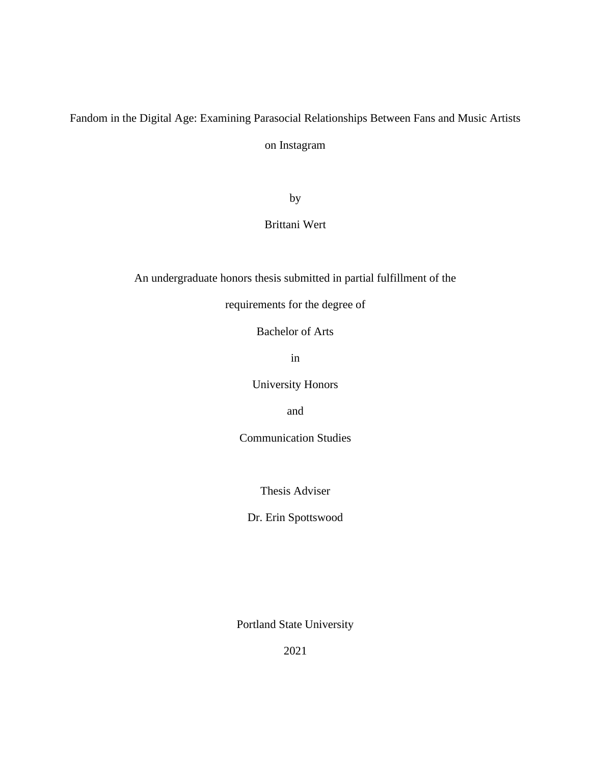# Fandom in the Digital Age: Examining Parasocial Relationships Between Fans and Music Artists on Instagram

by

Brittani Wert

An undergraduate honors thesis submitted in partial fulfillment of the

requirements for the degree of

Bachelor of Arts

in

University Honors

and

Communication Studies

Thesis Adviser

Dr. Erin Spottswood

Portland State University

2021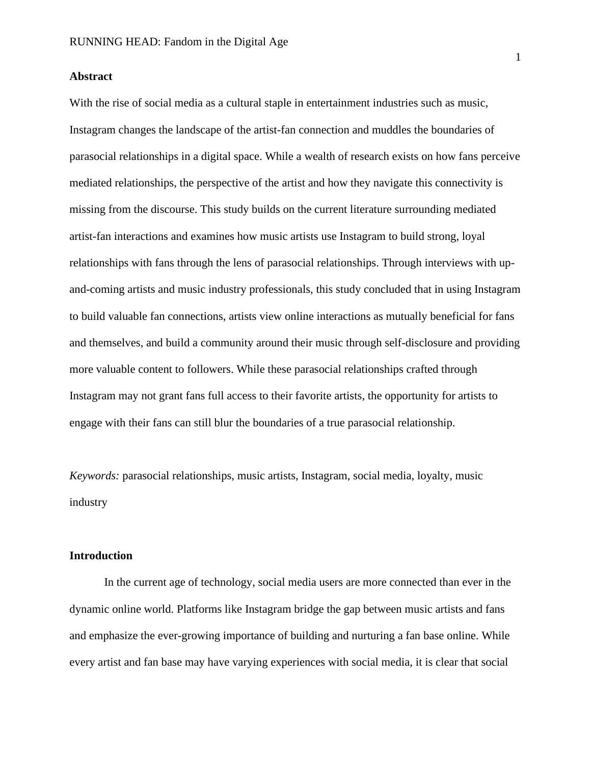# **Abstract**

With the rise of social media as a cultural staple in entertainment industries such as music, Instagram changes the landscape of the artist-fan connection and muddles the boundaries of parasocial relationships in a digital space. While a wealth of research exists on how fans perceive mediated relationships, the perspective of the artist and how they navigate this connectivity is missing from the discourse. This study builds on the current literature surrounding mediated artist-fan interactions and examines how music artists use Instagram to build strong, loyal relationships with fans through the lens of parasocial relationships. Through interviews with upand-coming artists and music industry professionals, this study concluded that in using Instagram to build valuable fan connections, artists view online interactions as mutually beneficial for fans and themselves, and build a community around their music through self-disclosure and providing more valuable content to followers. While these parasocial relationships crafted through Instagram may not grant fans full access to their favorite artists, the opportunity for artists to engage with their fans can still blur the boundaries of a true parasocial relationship.

*Keywords:* parasocial relationships, music artists, Instagram, social media, loyalty, music industry

#### **Introduction**

In the current age of technology, social media users are more connected than ever in the dynamic online world. Platforms like Instagram bridge the gap between music artists and fans and emphasize the ever-growing importance of building and nurturing a fan base online. While every artist and fan base may have varying experiences with social media, it is clear that social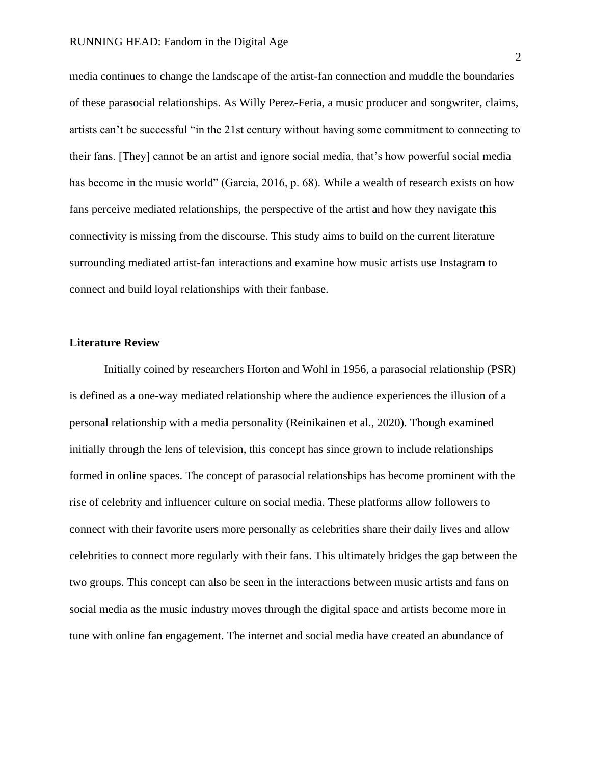media continues to change the landscape of the artist-fan connection and muddle the boundaries of these parasocial relationships. As Willy Perez-Feria, a music producer and songwriter, claims, artists can't be successful "in the 21st century without having some commitment to connecting to their fans. [They] cannot be an artist and ignore social media, that's how powerful social media has become in the music world" (Garcia, 2016, p. 68). While a wealth of research exists on how fans perceive mediated relationships, the perspective of the artist and how they navigate this connectivity is missing from the discourse. This study aims to build on the current literature surrounding mediated artist-fan interactions and examine how music artists use Instagram to connect and build loyal relationships with their fanbase.

#### **Literature Review**

Initially coined by researchers Horton and Wohl in 1956, a parasocial relationship (PSR) is defined as a one-way mediated relationship where the audience experiences the illusion of a personal relationship with a media personality (Reinikainen et al., 2020). Though examined initially through the lens of television, this concept has since grown to include relationships formed in online spaces. The concept of parasocial relationships has become prominent with the rise of celebrity and influencer culture on social media. These platforms allow followers to connect with their favorite users more personally as celebrities share their daily lives and allow celebrities to connect more regularly with their fans. This ultimately bridges the gap between the two groups. This concept can also be seen in the interactions between music artists and fans on social media as the music industry moves through the digital space and artists become more in tune with online fan engagement. The internet and social media have created an abundance of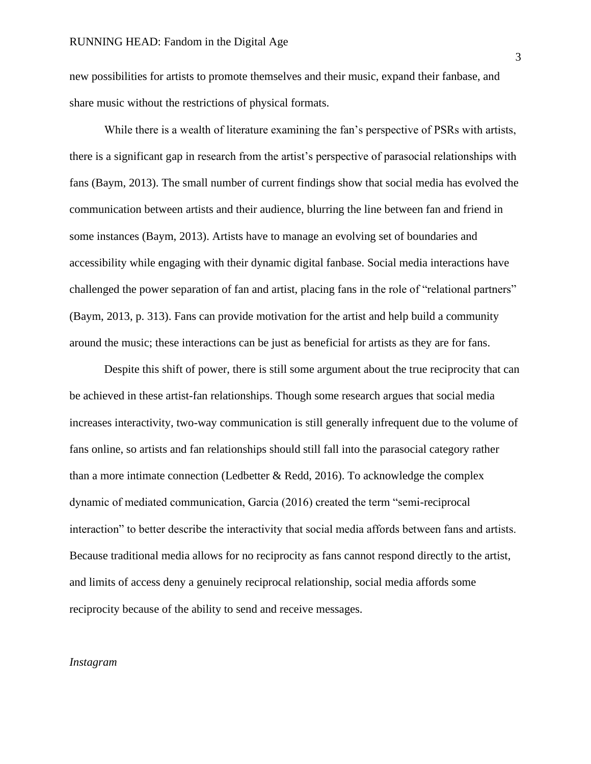new possibilities for artists to promote themselves and their music, expand their fanbase, and share music without the restrictions of physical formats.

While there is a wealth of literature examining the fan's perspective of PSRs with artists, there is a significant gap in research from the artist's perspective of parasocial relationships with fans (Baym, 2013). The small number of current findings show that social media has evolved the communication between artists and their audience, blurring the line between fan and friend in some instances (Baym, 2013). Artists have to manage an evolving set of boundaries and accessibility while engaging with their dynamic digital fanbase. Social media interactions have challenged the power separation of fan and artist, placing fans in the role of "relational partners" (Baym, 2013, p. 313). Fans can provide motivation for the artist and help build a community around the music; these interactions can be just as beneficial for artists as they are for fans.

Despite this shift of power, there is still some argument about the true reciprocity that can be achieved in these artist-fan relationships. Though some research argues that social media increases interactivity, two-way communication is still generally infrequent due to the volume of fans online, so artists and fan relationships should still fall into the parasocial category rather than a more intimate connection (Ledbetter  $\&$  Redd, 2016). To acknowledge the complex dynamic of mediated communication, Garcia (2016) created the term "semi-reciprocal interaction" to better describe the interactivity that social media affords between fans and artists. Because traditional media allows for no reciprocity as fans cannot respond directly to the artist, and limits of access deny a genuinely reciprocal relationship, social media affords some reciprocity because of the ability to send and receive messages.

# *Instagram*

3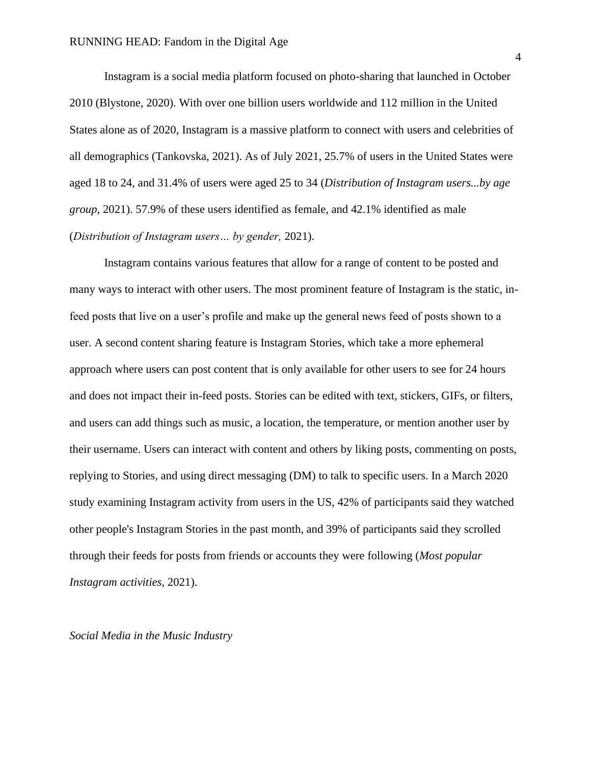Instagram is a social media platform focused on photo-sharing that launched in October 2010 (Blystone, 2020). With over one billion users worldwide and 112 million in the United States alone as of 2020, Instagram is a massive platform to connect with users and celebrities of all demographics (Tankovska, 2021). As of July 2021, 25.7% of users in the United States were aged 18 to 24, and 31.4% of users were aged 25 to 34 (*Distribution of Instagram users...by age group,* 2021). 57.9% of these users identified as female, and 42.1% identified as male (*Distribution of Instagram users… by gender,* 2021).

Instagram contains various features that allow for a range of content to be posted and many ways to interact with other users. The most prominent feature of Instagram is the static, infeed posts that live on a user's profile and make up the general news feed of posts shown to a user. A second content sharing feature is Instagram Stories, which take a more ephemeral approach where users can post content that is only available for other users to see for 24 hours and does not impact their in-feed posts. Stories can be edited with text, stickers, GIFs, or filters, and users can add things such as music, a location, the temperature, or mention another user by their username. Users can interact with content and others by liking posts, commenting on posts, replying to Stories, and using direct messaging (DM) to talk to specific users. In a March 2020 study examining Instagram activity from users in the US, 42% of participants said they watched other people's Instagram Stories in the past month, and 39% of participants said they scrolled through their feeds for posts from friends or accounts they were following (*Most popular Instagram activities,* 2021).

*Social Media in the Music Industry*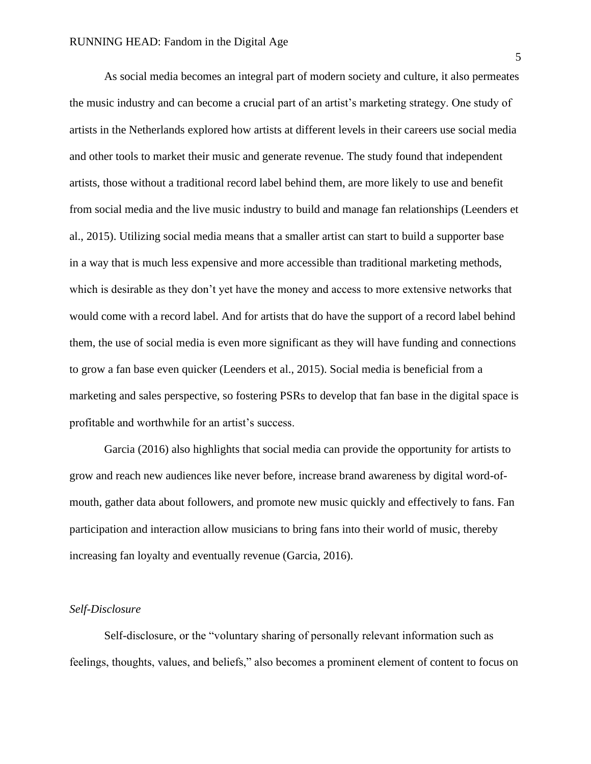As social media becomes an integral part of modern society and culture, it also permeates the music industry and can become a crucial part of an artist's marketing strategy. One study of artists in the Netherlands explored how artists at different levels in their careers use social media and other tools to market their music and generate revenue. The study found that independent artists, those without a traditional record label behind them, are more likely to use and benefit from social media and the live music industry to build and manage fan relationships (Leenders et al., 2015). Utilizing social media means that a smaller artist can start to build a supporter base in a way that is much less expensive and more accessible than traditional marketing methods, which is desirable as they don't yet have the money and access to more extensive networks that would come with a record label. And for artists that do have the support of a record label behind them, the use of social media is even more significant as they will have funding and connections to grow a fan base even quicker (Leenders et al., 2015). Social media is beneficial from a marketing and sales perspective, so fostering PSRs to develop that fan base in the digital space is profitable and worthwhile for an artist's success.

Garcia (2016) also highlights that social media can provide the opportunity for artists to grow and reach new audiences like never before, increase brand awareness by digital word-ofmouth, gather data about followers, and promote new music quickly and effectively to fans. Fan participation and interaction allow musicians to bring fans into their world of music, thereby increasing fan loyalty and eventually revenue (Garcia, 2016).

#### *Self-Disclosure*

Self-disclosure, or the "voluntary sharing of personally relevant information such as feelings, thoughts, values, and beliefs," also becomes a prominent element of content to focus on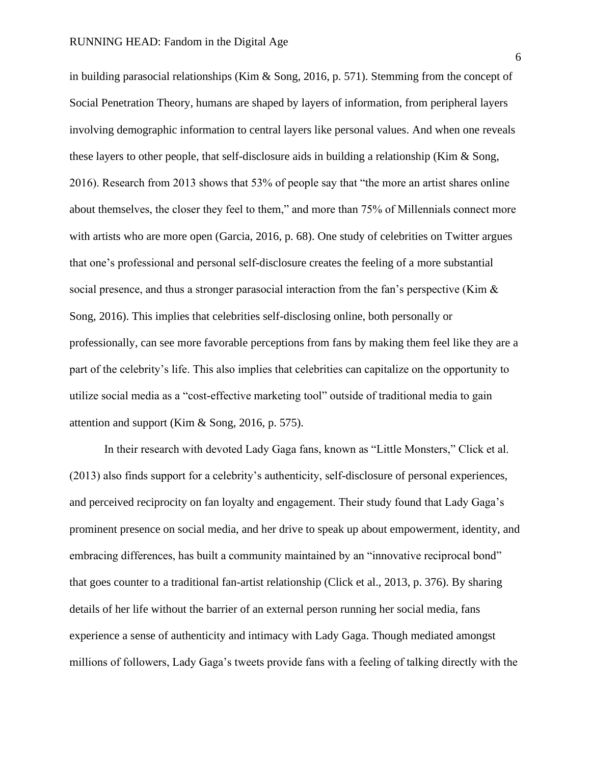in building parasocial relationships (Kim & Song, 2016, p. 571). Stemming from the concept of Social Penetration Theory, humans are shaped by layers of information, from peripheral layers involving demographic information to central layers like personal values. And when one reveals these layers to other people, that self-disclosure aids in building a relationship (Kim & Song, 2016). Research from 2013 shows that 53% of people say that "the more an artist shares online about themselves, the closer they feel to them," and more than 75% of Millennials connect more with artists who are more open (Garcia, 2016, p. 68). One study of celebrities on Twitter argues that one's professional and personal self-disclosure creates the feeling of a more substantial social presence, and thus a stronger parasocial interaction from the fan's perspective (Kim & Song, 2016). This implies that celebrities self-disclosing online, both personally or professionally, can see more favorable perceptions from fans by making them feel like they are a part of the celebrity's life. This also implies that celebrities can capitalize on the opportunity to utilize social media as a "cost-effective marketing tool" outside of traditional media to gain attention and support (Kim & Song, 2016, p. 575).

In their research with devoted Lady Gaga fans, known as "Little Monsters," Click et al. (2013) also finds support for a celebrity's authenticity, self-disclosure of personal experiences, and perceived reciprocity on fan loyalty and engagement. Their study found that Lady Gaga's prominent presence on social media, and her drive to speak up about empowerment, identity, and embracing differences, has built a community maintained by an "innovative reciprocal bond" that goes counter to a traditional fan-artist relationship (Click et al., 2013, p. 376). By sharing details of her life without the barrier of an external person running her social media, fans experience a sense of authenticity and intimacy with Lady Gaga. Though mediated amongst millions of followers, Lady Gaga's tweets provide fans with a feeling of talking directly with the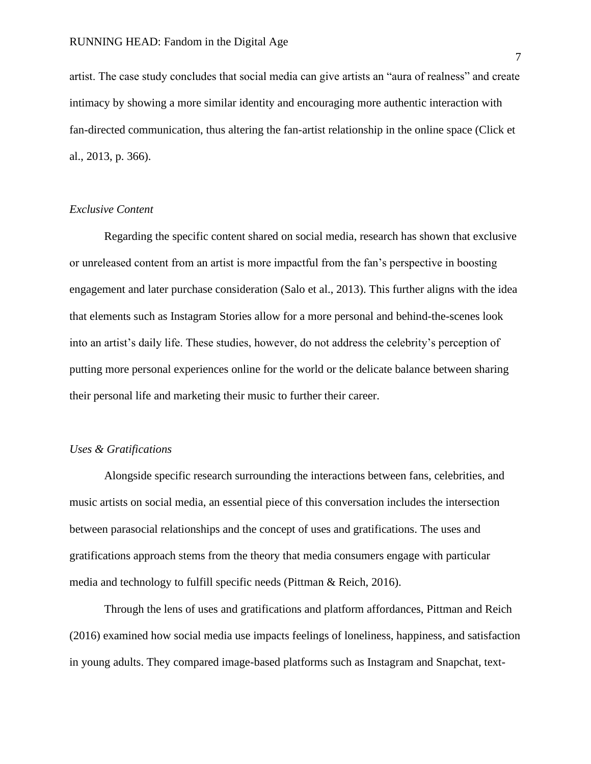artist. The case study concludes that social media can give artists an "aura of realness" and create intimacy by showing a more similar identity and encouraging more authentic interaction with fan-directed communication, thus altering the fan-artist relationship in the online space (Click et al., 2013, p. 366).

# *Exclusive Content*

Regarding the specific content shared on social media, research has shown that exclusive or unreleased content from an artist is more impactful from the fan's perspective in boosting engagement and later purchase consideration (Salo et al., 2013). This further aligns with the idea that elements such as Instagram Stories allow for a more personal and behind-the-scenes look into an artist's daily life. These studies, however, do not address the celebrity's perception of putting more personal experiences online for the world or the delicate balance between sharing their personal life and marketing their music to further their career.

# *Uses & Gratifications*

Alongside specific research surrounding the interactions between fans, celebrities, and music artists on social media, an essential piece of this conversation includes the intersection between parasocial relationships and the concept of uses and gratifications. The uses and gratifications approach stems from the theory that media consumers engage with particular media and technology to fulfill specific needs (Pittman & Reich, 2016).

Through the lens of uses and gratifications and platform affordances, Pittman and Reich (2016) examined how social media use impacts feelings of loneliness, happiness, and satisfaction in young adults. They compared image-based platforms such as Instagram and Snapchat, text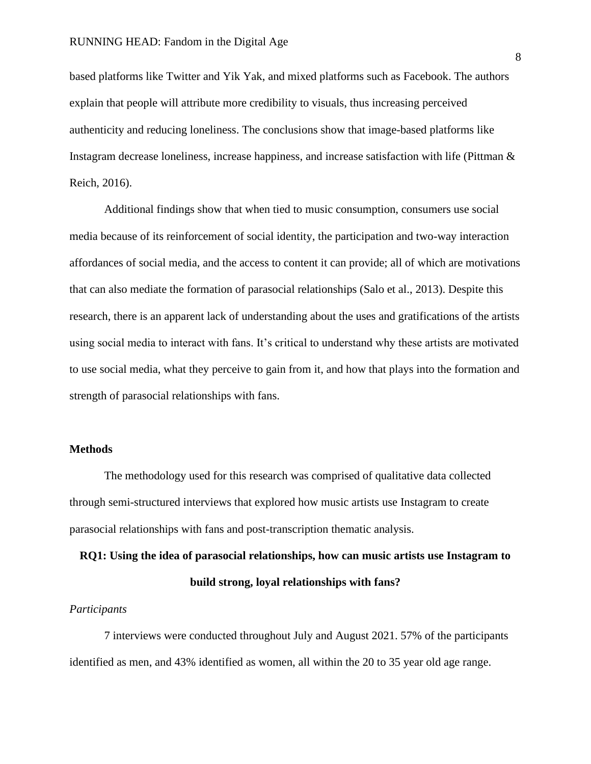based platforms like Twitter and Yik Yak, and mixed platforms such as Facebook. The authors explain that people will attribute more credibility to visuals, thus increasing perceived authenticity and reducing loneliness. The conclusions show that image-based platforms like Instagram decrease loneliness, increase happiness, and increase satisfaction with life (Pittman & Reich, 2016).

Additional findings show that when tied to music consumption, consumers use social media because of its reinforcement of social identity, the participation and two-way interaction affordances of social media, and the access to content it can provide; all of which are motivations that can also mediate the formation of parasocial relationships (Salo et al., 2013). Despite this research, there is an apparent lack of understanding about the uses and gratifications of the artists using social media to interact with fans. It's critical to understand why these artists are motivated to use social media, what they perceive to gain from it, and how that plays into the formation and strength of parasocial relationships with fans.

#### **Methods**

The methodology used for this research was comprised of qualitative data collected through semi-structured interviews that explored how music artists use Instagram to create parasocial relationships with fans and post-transcription thematic analysis.

**RQ1: Using the idea of parasocial relationships, how can music artists use Instagram to build strong, loyal relationships with fans?**

# *Participants*

7 interviews were conducted throughout July and August 2021. 57% of the participants identified as men, and 43% identified as women, all within the 20 to 35 year old age range.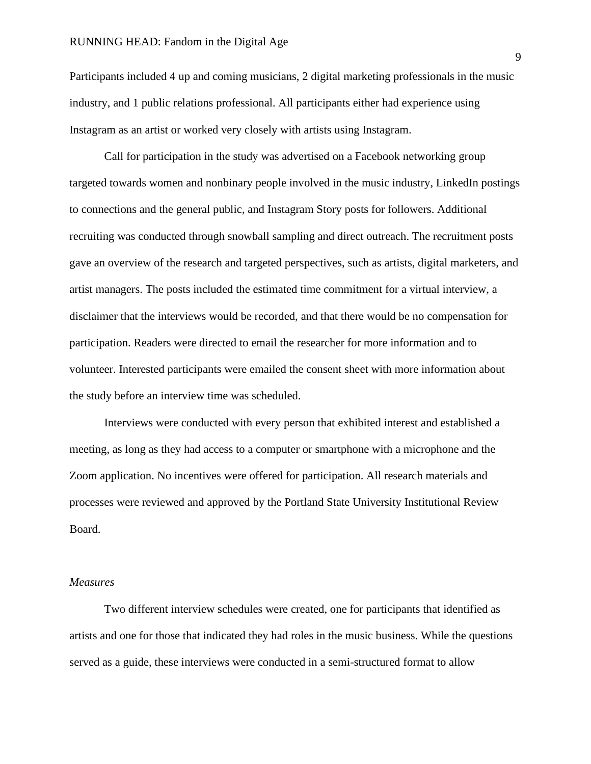Participants included 4 up and coming musicians, 2 digital marketing professionals in the music industry, and 1 public relations professional. All participants either had experience using Instagram as an artist or worked very closely with artists using Instagram.

Call for participation in the study was advertised on a Facebook networking group targeted towards women and nonbinary people involved in the music industry, LinkedIn postings to connections and the general public, and Instagram Story posts for followers. Additional recruiting was conducted through snowball sampling and direct outreach. The recruitment posts gave an overview of the research and targeted perspectives, such as artists, digital marketers, and artist managers. The posts included the estimated time commitment for a virtual interview, a disclaimer that the interviews would be recorded, and that there would be no compensation for participation. Readers were directed to email the researcher for more information and to volunteer. Interested participants were emailed the consent sheet with more information about the study before an interview time was scheduled.

Interviews were conducted with every person that exhibited interest and established a meeting, as long as they had access to a computer or smartphone with a microphone and the Zoom application. No incentives were offered for participation. All research materials and processes were reviewed and approved by the Portland State University Institutional Review Board.

#### *Measures*

Two different interview schedules were created, one for participants that identified as artists and one for those that indicated they had roles in the music business. While the questions served as a guide, these interviews were conducted in a semi-structured format to allow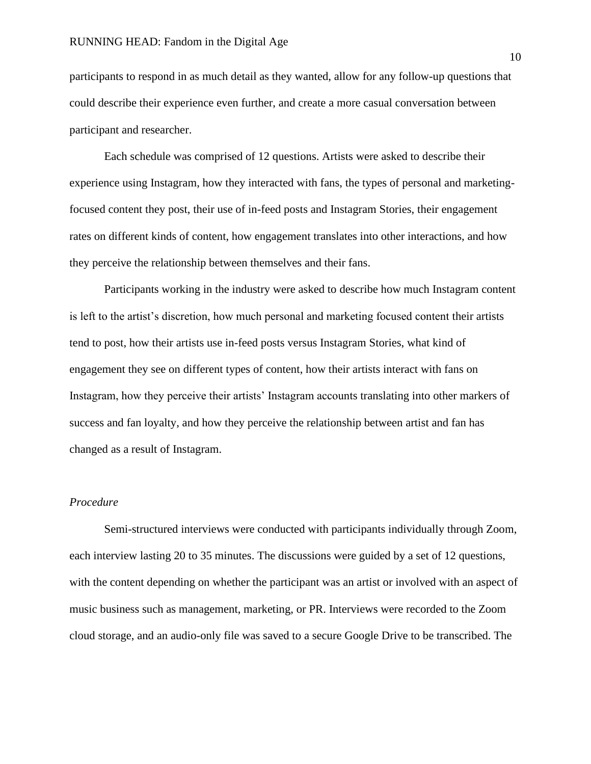participants to respond in as much detail as they wanted, allow for any follow-up questions that could describe their experience even further, and create a more casual conversation between participant and researcher.

Each schedule was comprised of 12 questions. Artists were asked to describe their experience using Instagram, how they interacted with fans, the types of personal and marketingfocused content they post, their use of in-feed posts and Instagram Stories, their engagement rates on different kinds of content, how engagement translates into other interactions, and how they perceive the relationship between themselves and their fans.

Participants working in the industry were asked to describe how much Instagram content is left to the artist's discretion, how much personal and marketing focused content their artists tend to post, how their artists use in-feed posts versus Instagram Stories, what kind of engagement they see on different types of content, how their artists interact with fans on Instagram, how they perceive their artists' Instagram accounts translating into other markers of success and fan loyalty, and how they perceive the relationship between artist and fan has changed as a result of Instagram.

# *Procedure*

Semi-structured interviews were conducted with participants individually through Zoom, each interview lasting 20 to 35 minutes. The discussions were guided by a set of 12 questions, with the content depending on whether the participant was an artist or involved with an aspect of music business such as management, marketing, or PR. Interviews were recorded to the Zoom cloud storage, and an audio-only file was saved to a secure Google Drive to be transcribed. The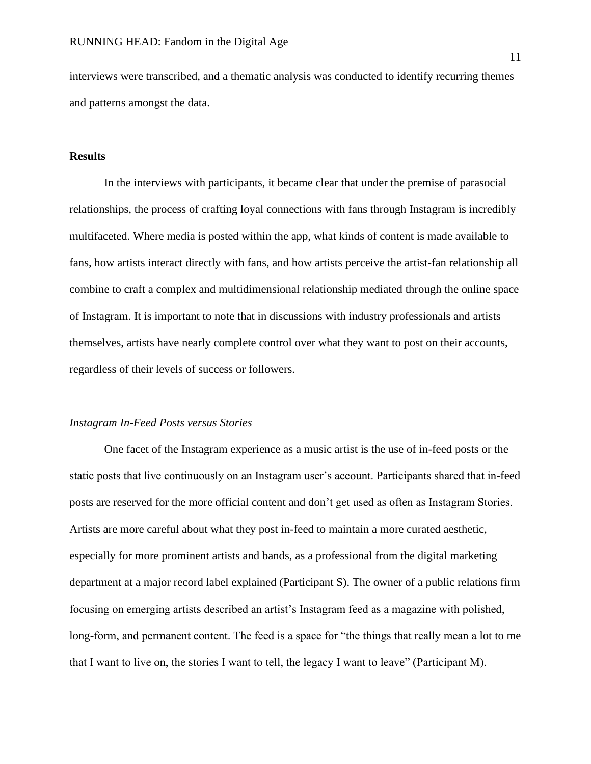interviews were transcribed, and a thematic analysis was conducted to identify recurring themes and patterns amongst the data.

# **Results**

In the interviews with participants, it became clear that under the premise of parasocial relationships, the process of crafting loyal connections with fans through Instagram is incredibly multifaceted. Where media is posted within the app, what kinds of content is made available to fans, how artists interact directly with fans, and how artists perceive the artist-fan relationship all combine to craft a complex and multidimensional relationship mediated through the online space of Instagram. It is important to note that in discussions with industry professionals and artists themselves, artists have nearly complete control over what they want to post on their accounts, regardless of their levels of success or followers.

#### *Instagram In-Feed Posts versus Stories*

One facet of the Instagram experience as a music artist is the use of in-feed posts or the static posts that live continuously on an Instagram user's account. Participants shared that in-feed posts are reserved for the more official content and don't get used as often as Instagram Stories. Artists are more careful about what they post in-feed to maintain a more curated aesthetic, especially for more prominent artists and bands, as a professional from the digital marketing department at a major record label explained (Participant S). The owner of a public relations firm focusing on emerging artists described an artist's Instagram feed as a magazine with polished, long-form, and permanent content. The feed is a space for "the things that really mean a lot to me that I want to live on, the stories I want to tell, the legacy I want to leave" (Participant M).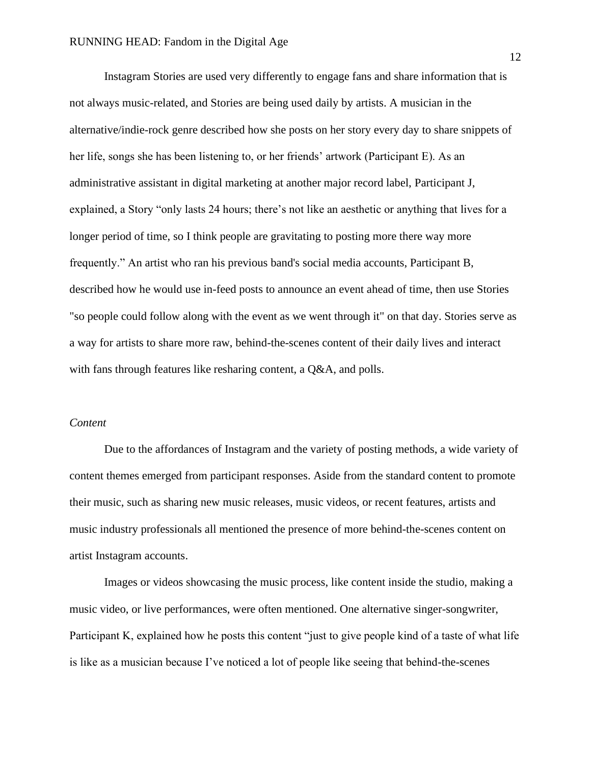Instagram Stories are used very differently to engage fans and share information that is not always music-related, and Stories are being used daily by artists. A musician in the alternative/indie-rock genre described how she posts on her story every day to share snippets of her life, songs she has been listening to, or her friends' artwork (Participant E). As an administrative assistant in digital marketing at another major record label, Participant J, explained, a Story "only lasts 24 hours; there's not like an aesthetic or anything that lives for a longer period of time, so I think people are gravitating to posting more there way more frequently." An artist who ran his previous band's social media accounts, Participant B, described how he would use in-feed posts to announce an event ahead of time, then use Stories "so people could follow along with the event as we went through it" on that day. Stories serve as a way for artists to share more raw, behind-the-scenes content of their daily lives and interact with fans through features like resharing content, a Q&A, and polls.

# *Content*

Due to the affordances of Instagram and the variety of posting methods, a wide variety of content themes emerged from participant responses. Aside from the standard content to promote their music, such as sharing new music releases, music videos, or recent features, artists and music industry professionals all mentioned the presence of more behind-the-scenes content on artist Instagram accounts.

Images or videos showcasing the music process, like content inside the studio, making a music video, or live performances, were often mentioned. One alternative singer-songwriter, Participant K, explained how he posts this content "just to give people kind of a taste of what life is like as a musician because I've noticed a lot of people like seeing that behind-the-scenes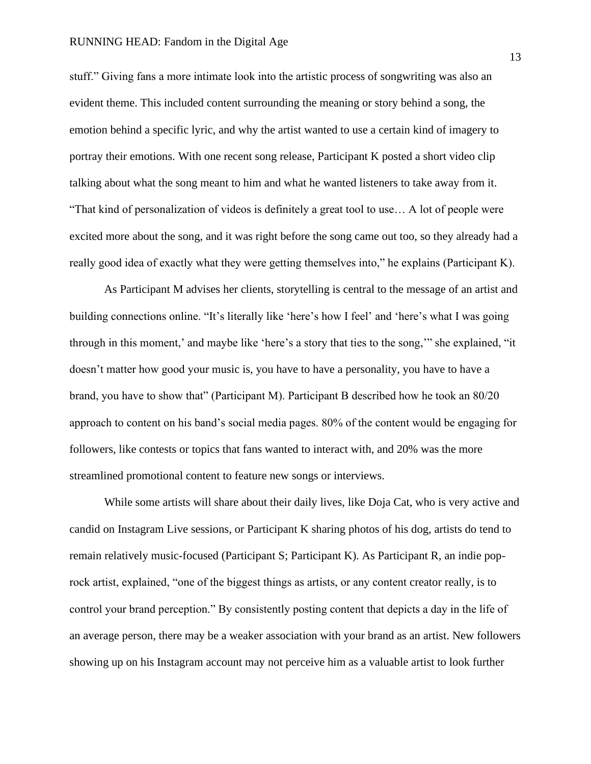stuff." Giving fans a more intimate look into the artistic process of songwriting was also an evident theme. This included content surrounding the meaning or story behind a song, the emotion behind a specific lyric, and why the artist wanted to use a certain kind of imagery to portray their emotions. With one recent song release, Participant K posted a short video clip talking about what the song meant to him and what he wanted listeners to take away from it. "That kind of personalization of videos is definitely a great tool to use… A lot of people were excited more about the song, and it was right before the song came out too, so they already had a really good idea of exactly what they were getting themselves into," he explains (Participant K).

As Participant M advises her clients, storytelling is central to the message of an artist and building connections online. "It's literally like 'here's how I feel' and 'here's what I was going through in this moment,' and maybe like 'here's a story that ties to the song,'" she explained, "it doesn't matter how good your music is, you have to have a personality, you have to have a brand, you have to show that" (Participant M). Participant B described how he took an 80/20 approach to content on his band's social media pages. 80% of the content would be engaging for followers, like contests or topics that fans wanted to interact with, and 20% was the more streamlined promotional content to feature new songs or interviews.

While some artists will share about their daily lives, like Doja Cat, who is very active and candid on Instagram Live sessions, or Participant K sharing photos of his dog, artists do tend to remain relatively music-focused (Participant S; Participant K). As Participant R, an indie poprock artist, explained, "one of the biggest things as artists, or any content creator really, is to control your brand perception." By consistently posting content that depicts a day in the life of an average person, there may be a weaker association with your brand as an artist. New followers showing up on his Instagram account may not perceive him as a valuable artist to look further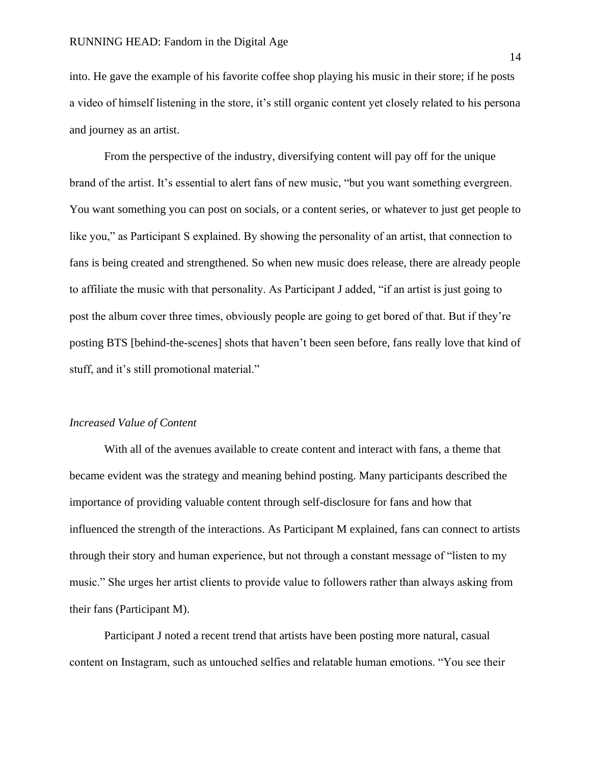into. He gave the example of his favorite coffee shop playing his music in their store; if he posts a video of himself listening in the store, it's still organic content yet closely related to his persona and journey as an artist.

From the perspective of the industry, diversifying content will pay off for the unique brand of the artist. It's essential to alert fans of new music, "but you want something evergreen. You want something you can post on socials, or a content series, or whatever to just get people to like you," as Participant S explained. By showing the personality of an artist, that connection to fans is being created and strengthened. So when new music does release, there are already people to affiliate the music with that personality. As Participant J added, "if an artist is just going to post the album cover three times, obviously people are going to get bored of that. But if they're posting BTS [behind-the-scenes] shots that haven't been seen before, fans really love that kind of stuff, and it's still promotional material."

# *Increased Value of Content*

With all of the avenues available to create content and interact with fans, a theme that became evident was the strategy and meaning behind posting. Many participants described the importance of providing valuable content through self-disclosure for fans and how that influenced the strength of the interactions. As Participant M explained, fans can connect to artists through their story and human experience, but not through a constant message of "listen to my music." She urges her artist clients to provide value to followers rather than always asking from their fans (Participant M).

Participant J noted a recent trend that artists have been posting more natural, casual content on Instagram, such as untouched selfies and relatable human emotions. "You see their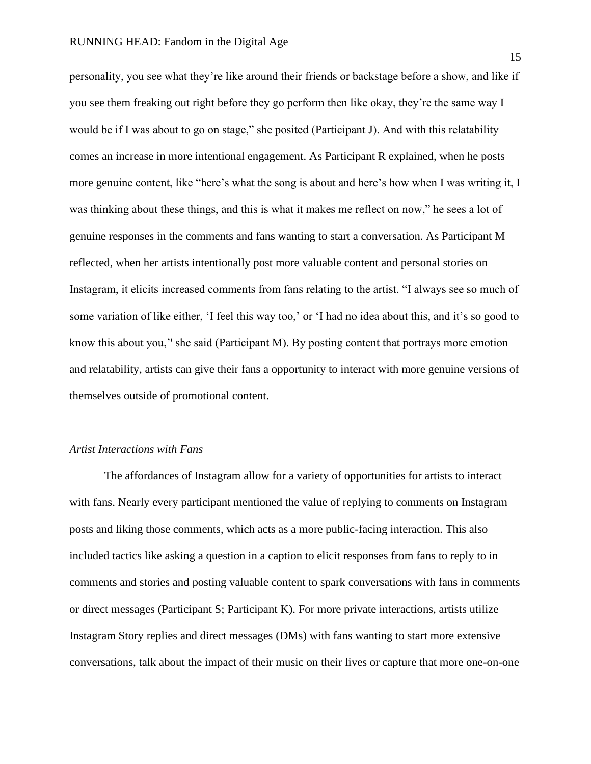personality, you see what they're like around their friends or backstage before a show, and like if you see them freaking out right before they go perform then like okay, they're the same way I would be if I was about to go on stage," she posited (Participant J). And with this relatability comes an increase in more intentional engagement. As Participant R explained, when he posts more genuine content, like "here's what the song is about and here's how when I was writing it, I was thinking about these things, and this is what it makes me reflect on now," he sees a lot of genuine responses in the comments and fans wanting to start a conversation. As Participant M reflected, when her artists intentionally post more valuable content and personal stories on Instagram, it elicits increased comments from fans relating to the artist. "I always see so much of some variation of like either, 'I feel this way too,' or 'I had no idea about this, and it's so good to know this about you,'' she said (Participant M). By posting content that portrays more emotion and relatability, artists can give their fans a opportunity to interact with more genuine versions of themselves outside of promotional content.

# *Artist Interactions with Fans*

The affordances of Instagram allow for a variety of opportunities for artists to interact with fans. Nearly every participant mentioned the value of replying to comments on Instagram posts and liking those comments, which acts as a more public-facing interaction. This also included tactics like asking a question in a caption to elicit responses from fans to reply to in comments and stories and posting valuable content to spark conversations with fans in comments or direct messages (Participant S; Participant K). For more private interactions, artists utilize Instagram Story replies and direct messages (DMs) with fans wanting to start more extensive conversations, talk about the impact of their music on their lives or capture that more one-on-one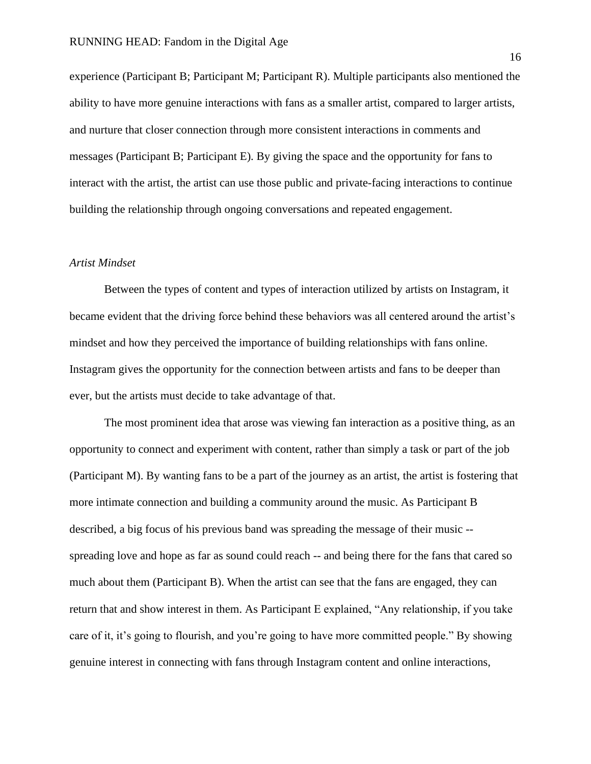experience (Participant B; Participant M; Participant R). Multiple participants also mentioned the ability to have more genuine interactions with fans as a smaller artist, compared to larger artists, and nurture that closer connection through more consistent interactions in comments and messages (Participant B; Participant E). By giving the space and the opportunity for fans to interact with the artist, the artist can use those public and private-facing interactions to continue building the relationship through ongoing conversations and repeated engagement.

# *Artist Mindset*

Between the types of content and types of interaction utilized by artists on Instagram, it became evident that the driving force behind these behaviors was all centered around the artist's mindset and how they perceived the importance of building relationships with fans online. Instagram gives the opportunity for the connection between artists and fans to be deeper than ever, but the artists must decide to take advantage of that.

The most prominent idea that arose was viewing fan interaction as a positive thing, as an opportunity to connect and experiment with content, rather than simply a task or part of the job (Participant M). By wanting fans to be a part of the journey as an artist, the artist is fostering that more intimate connection and building a community around the music. As Participant B described, a big focus of his previous band was spreading the message of their music - spreading love and hope as far as sound could reach -- and being there for the fans that cared so much about them (Participant B). When the artist can see that the fans are engaged, they can return that and show interest in them. As Participant E explained, "Any relationship, if you take care of it, it's going to flourish, and you're going to have more committed people." By showing genuine interest in connecting with fans through Instagram content and online interactions,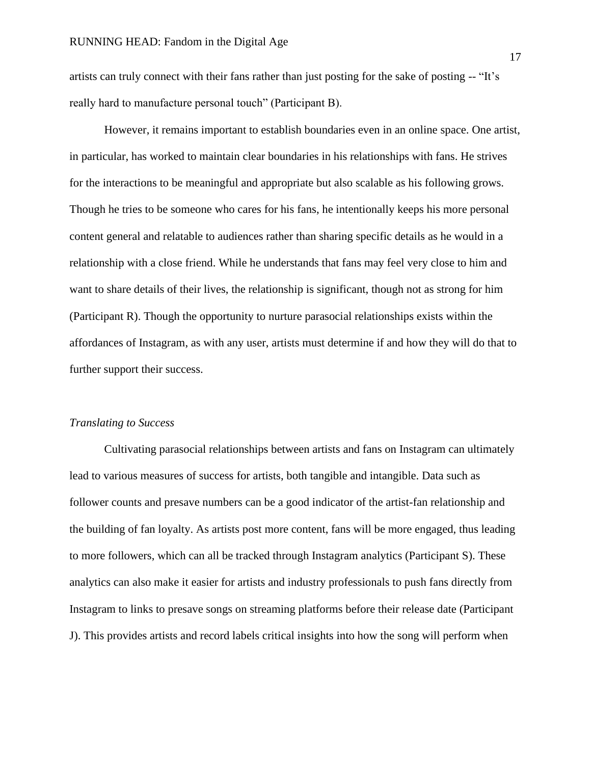artists can truly connect with their fans rather than just posting for the sake of posting -- "It's really hard to manufacture personal touch" (Participant B).

However, it remains important to establish boundaries even in an online space. One artist, in particular, has worked to maintain clear boundaries in his relationships with fans. He strives for the interactions to be meaningful and appropriate but also scalable as his following grows. Though he tries to be someone who cares for his fans, he intentionally keeps his more personal content general and relatable to audiences rather than sharing specific details as he would in a relationship with a close friend. While he understands that fans may feel very close to him and want to share details of their lives, the relationship is significant, though not as strong for him (Participant R). Though the opportunity to nurture parasocial relationships exists within the affordances of Instagram, as with any user, artists must determine if and how they will do that to further support their success.

# *Translating to Success*

Cultivating parasocial relationships between artists and fans on Instagram can ultimately lead to various measures of success for artists, both tangible and intangible. Data such as follower counts and presave numbers can be a good indicator of the artist-fan relationship and the building of fan loyalty. As artists post more content, fans will be more engaged, thus leading to more followers, which can all be tracked through Instagram analytics (Participant S). These analytics can also make it easier for artists and industry professionals to push fans directly from Instagram to links to presave songs on streaming platforms before their release date (Participant J). This provides artists and record labels critical insights into how the song will perform when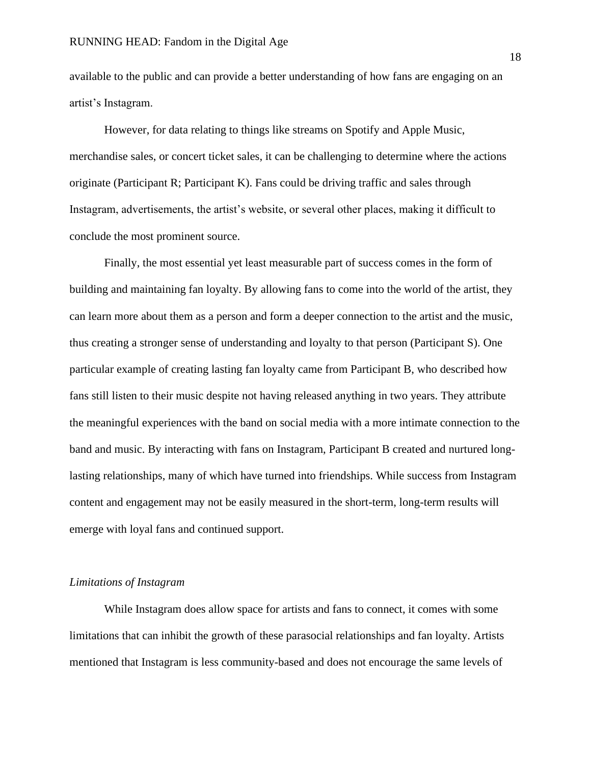available to the public and can provide a better understanding of how fans are engaging on an artist's Instagram.

However, for data relating to things like streams on Spotify and Apple Music, merchandise sales, or concert ticket sales, it can be challenging to determine where the actions originate (Participant R; Participant K). Fans could be driving traffic and sales through Instagram, advertisements, the artist's website, or several other places, making it difficult to conclude the most prominent source.

Finally, the most essential yet least measurable part of success comes in the form of building and maintaining fan loyalty. By allowing fans to come into the world of the artist, they can learn more about them as a person and form a deeper connection to the artist and the music, thus creating a stronger sense of understanding and loyalty to that person (Participant S). One particular example of creating lasting fan loyalty came from Participant B, who described how fans still listen to their music despite not having released anything in two years. They attribute the meaningful experiences with the band on social media with a more intimate connection to the band and music. By interacting with fans on Instagram, Participant B created and nurtured longlasting relationships, many of which have turned into friendships. While success from Instagram content and engagement may not be easily measured in the short-term, long-term results will emerge with loyal fans and continued support.

# *Limitations of Instagram*

While Instagram does allow space for artists and fans to connect, it comes with some limitations that can inhibit the growth of these parasocial relationships and fan loyalty. Artists mentioned that Instagram is less community-based and does not encourage the same levels of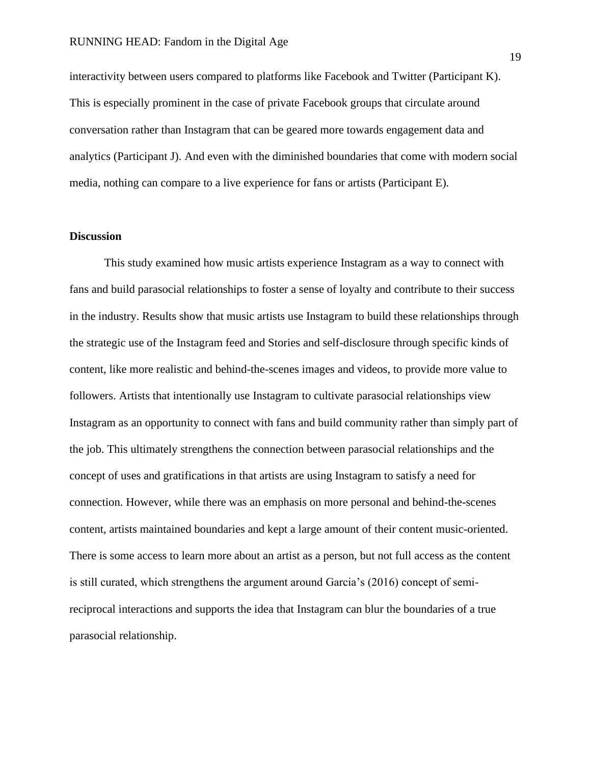interactivity between users compared to platforms like Facebook and Twitter (Participant K). This is especially prominent in the case of private Facebook groups that circulate around conversation rather than Instagram that can be geared more towards engagement data and analytics (Participant J). And even with the diminished boundaries that come with modern social media, nothing can compare to a live experience for fans or artists (Participant E).

#### **Discussion**

This study examined how music artists experience Instagram as a way to connect with fans and build parasocial relationships to foster a sense of loyalty and contribute to their success in the industry. Results show that music artists use Instagram to build these relationships through the strategic use of the Instagram feed and Stories and self-disclosure through specific kinds of content, like more realistic and behind-the-scenes images and videos, to provide more value to followers. Artists that intentionally use Instagram to cultivate parasocial relationships view Instagram as an opportunity to connect with fans and build community rather than simply part of the job. This ultimately strengthens the connection between parasocial relationships and the concept of uses and gratifications in that artists are using Instagram to satisfy a need for connection. However, while there was an emphasis on more personal and behind-the-scenes content, artists maintained boundaries and kept a large amount of their content music-oriented. There is some access to learn more about an artist as a person, but not full access as the content is still curated, which strengthens the argument around Garcia's (2016) concept of semireciprocal interactions and supports the idea that Instagram can blur the boundaries of a true parasocial relationship.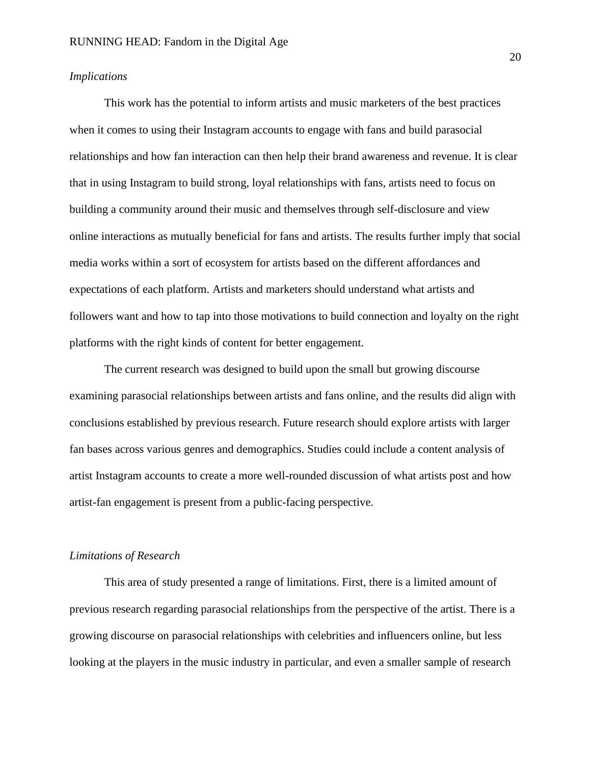# *Implications*

This work has the potential to inform artists and music marketers of the best practices when it comes to using their Instagram accounts to engage with fans and build parasocial relationships and how fan interaction can then help their brand awareness and revenue. It is clear that in using Instagram to build strong, loyal relationships with fans, artists need to focus on building a community around their music and themselves through self-disclosure and view online interactions as mutually beneficial for fans and artists. The results further imply that social media works within a sort of ecosystem for artists based on the different affordances and expectations of each platform. Artists and marketers should understand what artists and followers want and how to tap into those motivations to build connection and loyalty on the right platforms with the right kinds of content for better engagement.

The current research was designed to build upon the small but growing discourse examining parasocial relationships between artists and fans online, and the results did align with conclusions established by previous research. Future research should explore artists with larger fan bases across various genres and demographics. Studies could include a content analysis of artist Instagram accounts to create a more well-rounded discussion of what artists post and how artist-fan engagement is present from a public-facing perspective.

#### *Limitations of Research*

This area of study presented a range of limitations. First, there is a limited amount of previous research regarding parasocial relationships from the perspective of the artist. There is a growing discourse on parasocial relationships with celebrities and influencers online, but less looking at the players in the music industry in particular, and even a smaller sample of research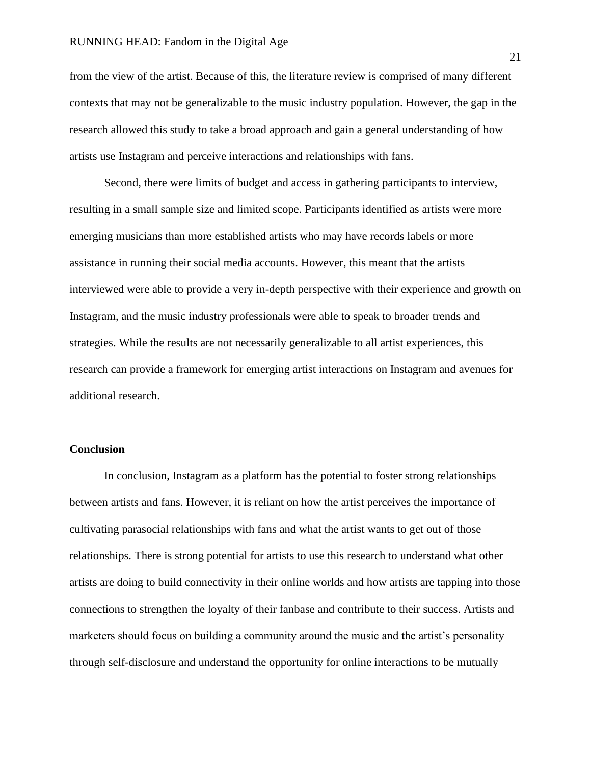from the view of the artist. Because of this, the literature review is comprised of many different contexts that may not be generalizable to the music industry population. However, the gap in the research allowed this study to take a broad approach and gain a general understanding of how artists use Instagram and perceive interactions and relationships with fans.

Second, there were limits of budget and access in gathering participants to interview, resulting in a small sample size and limited scope. Participants identified as artists were more emerging musicians than more established artists who may have records labels or more assistance in running their social media accounts. However, this meant that the artists interviewed were able to provide a very in-depth perspective with their experience and growth on Instagram, and the music industry professionals were able to speak to broader trends and strategies. While the results are not necessarily generalizable to all artist experiences, this research can provide a framework for emerging artist interactions on Instagram and avenues for additional research.

# **Conclusion**

In conclusion, Instagram as a platform has the potential to foster strong relationships between artists and fans. However, it is reliant on how the artist perceives the importance of cultivating parasocial relationships with fans and what the artist wants to get out of those relationships. There is strong potential for artists to use this research to understand what other artists are doing to build connectivity in their online worlds and how artists are tapping into those connections to strengthen the loyalty of their fanbase and contribute to their success. Artists and marketers should focus on building a community around the music and the artist's personality through self-disclosure and understand the opportunity for online interactions to be mutually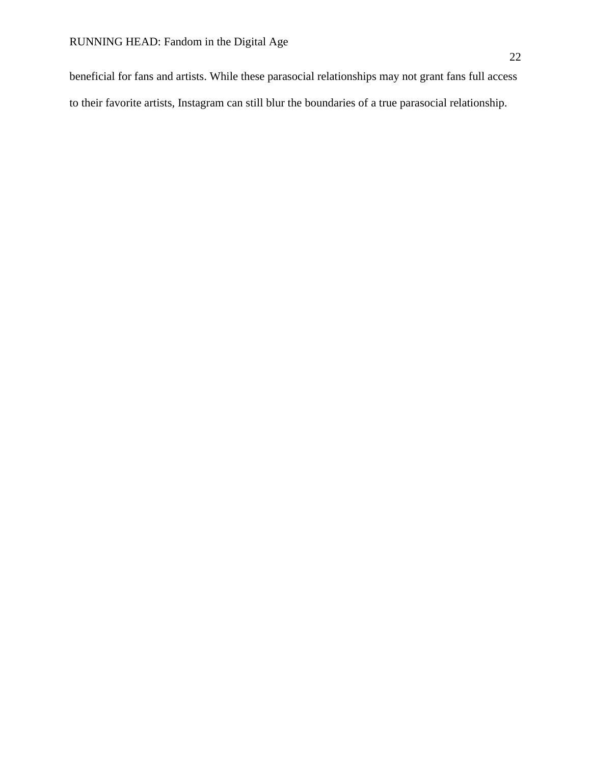beneficial for fans and artists. While these parasocial relationships may not grant fans full access to their favorite artists, Instagram can still blur the boundaries of a true parasocial relationship.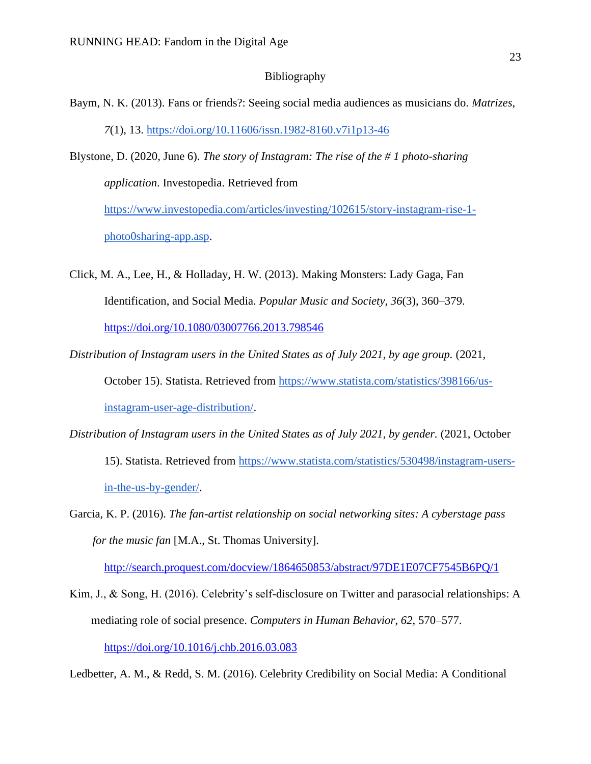# Bibliography

- Baym, N. K. (2013). Fans or friends?: Seeing social media audiences as musicians do. *Matrizes*, *7*(1), 13. <https://doi.org/10.11606/issn.1982-8160.v7i1p13-46>
- Blystone, D. (2020, June 6). *The story of Instagram: The rise of the # 1 photo-sharing application*. Investopedia. Retrieved from [https://www.investopedia.com/articles/investing/102615/story-instagram-rise-1-](https://www.investopedia.com/articles/investing/102615/story-instagram-rise-1-photo0sharing-app.asp)

[photo0sharing-app.asp.](https://www.investopedia.com/articles/investing/102615/story-instagram-rise-1-photo0sharing-app.asp)

- Click, M. A., Lee, H., & Holladay, H. W. (2013). Making Monsters: Lady Gaga, Fan Identification, and Social Media. *Popular Music and Society*, *36*(3), 360–379[.](https://doi.org/10.1080/03007766.2013.798546) <https://doi.org/10.1080/03007766.2013.798546>
- *Distribution of Instagram users in the United States as of July 2021, by age group.* (2021, October 15). Statista. Retrieved from [https://www.statista.com/statistics/398166/us](https://www.statista.com/statistics/398166/us-instagram-user-age-distribution/)[instagram-user-age-distribution/.](https://www.statista.com/statistics/398166/us-instagram-user-age-distribution/)
- *Distribution of Instagram users in the United States as of July 2021, by gender.* (2021, October 15). Statista. Retrieved from [https://www.statista.com/statistics/530498/instagram-users](https://www.statista.com/statistics/530498/instagram-users-in-the-us-by-gender/)[in-the-us-by-gender/.](https://www.statista.com/statistics/530498/instagram-users-in-the-us-by-gender/)
- Garcia, K. P. (2016). *The fan-artist relationship on social networking sites: A cyberstage pass for the music fan* [M.A., St. Thomas University][.](http://search.proquest.com/docview/1864650853/abstract/97DE1E07CF7545B6PQ/1)

<http://search.proquest.com/docview/1864650853/abstract/97DE1E07CF7545B6PQ/1>

Kim, J., & Song, H. (2016). Celebrity's self-disclosure on Twitter and parasocial relationships: A mediating role of social presence. *Computers in Human Behavior*, *62*, 570–577[.](https://doi.org/10.1016/j.chb.2016.03.083) <https://doi.org/10.1016/j.chb.2016.03.083>

Ledbetter, A. M., & Redd, S. M. (2016). Celebrity Credibility on Social Media: A Conditional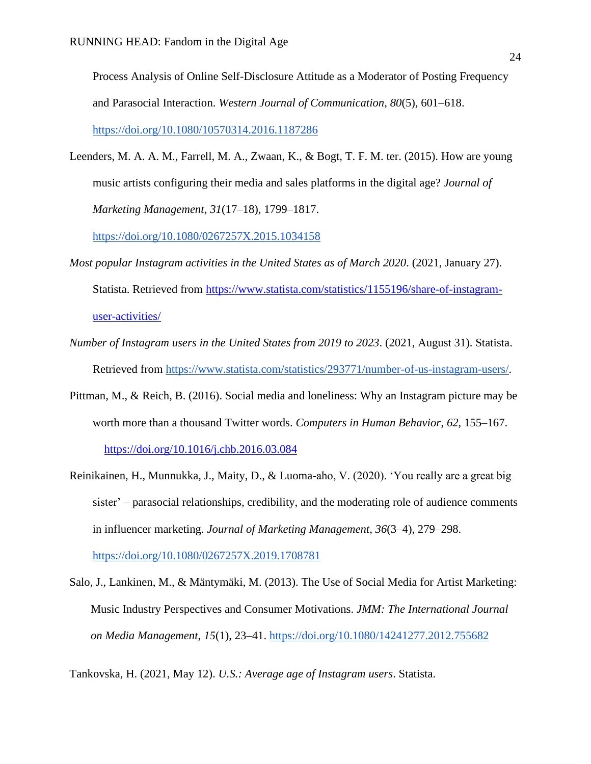Process Analysis of Online Self-Disclosure Attitude as a Moderator of Posting Frequency and Parasocial Interaction. *Western Journal of Communication*, *80*(5), 601–618[.](https://doi.org/10.1080/10570314.2016.1187286) <https://doi.org/10.1080/10570314.2016.1187286>

Leenders, M. A. A. M., Farrell, M. A., Zwaan, K., & Bogt, T. F. M. ter. (2015). How are young music artists configuring their media and sales platforms in the digital age? *Journal of Marketing Management*, *31*(17–18), 1799–1817[.](https://doi.org/10.1080/0267257X.2015.1034158)

<https://doi.org/10.1080/0267257X.2015.1034158>

- *Most popular Instagram activities in the United States as of March 2020*. (2021, January 27). Statista. Retrieved from [https://www.statista.com/statistics/1155196/share-of-instagram](https://www.statista.com/statistics/1155196/share-of-instagram-user-activities/)[user-activities/](https://www.statista.com/statistics/1155196/share-of-instagram-user-activities/)
- *Number of Instagram users in the United States from 2019 to 2023*. (2021, August 31). Statista. Retrieved from [https://www.statista.com/statistics/293771/number-of-us-instagram-users/.](https://www.statista.com/statistics/293771/number-of-us-instagram-users/)
- Pittman, M., & Reich, B. (2016). Social media and loneliness: Why an Instagram picture may be worth more than a thousand Twitter words. *Computers in Human Behavior*, *62*, 155–167[.](https://doi.org/10.1016/j.chb.2016.03.084) <https://doi.org/10.1016/j.chb.2016.03.084>
- Reinikainen, H., Munnukka, J., Maity, D., & Luoma-aho, V. (2020). 'You really are a great big sister' – parasocial relationships, credibility, and the moderating role of audience comments in influencer marketing. *Journal of Marketing Management*, *36*(3–4), 279–298[.](https://doi.org/10.1080/0267257X.2019.1708781) <https://doi.org/10.1080/0267257X.2019.1708781>
- Salo, J., Lankinen, M., & Mäntymäki, M. (2013). The Use of Social Media for Artist Marketing: Music Industry Perspectives and Consumer Motivations. *JMM: The International Journal on Media Management*, *15*(1), 23–41. <https://doi.org/10.1080/14241277.2012.755682>

Tankovska, H. (2021, May 12). *U.S.: Average age of Instagram users*. Statista.